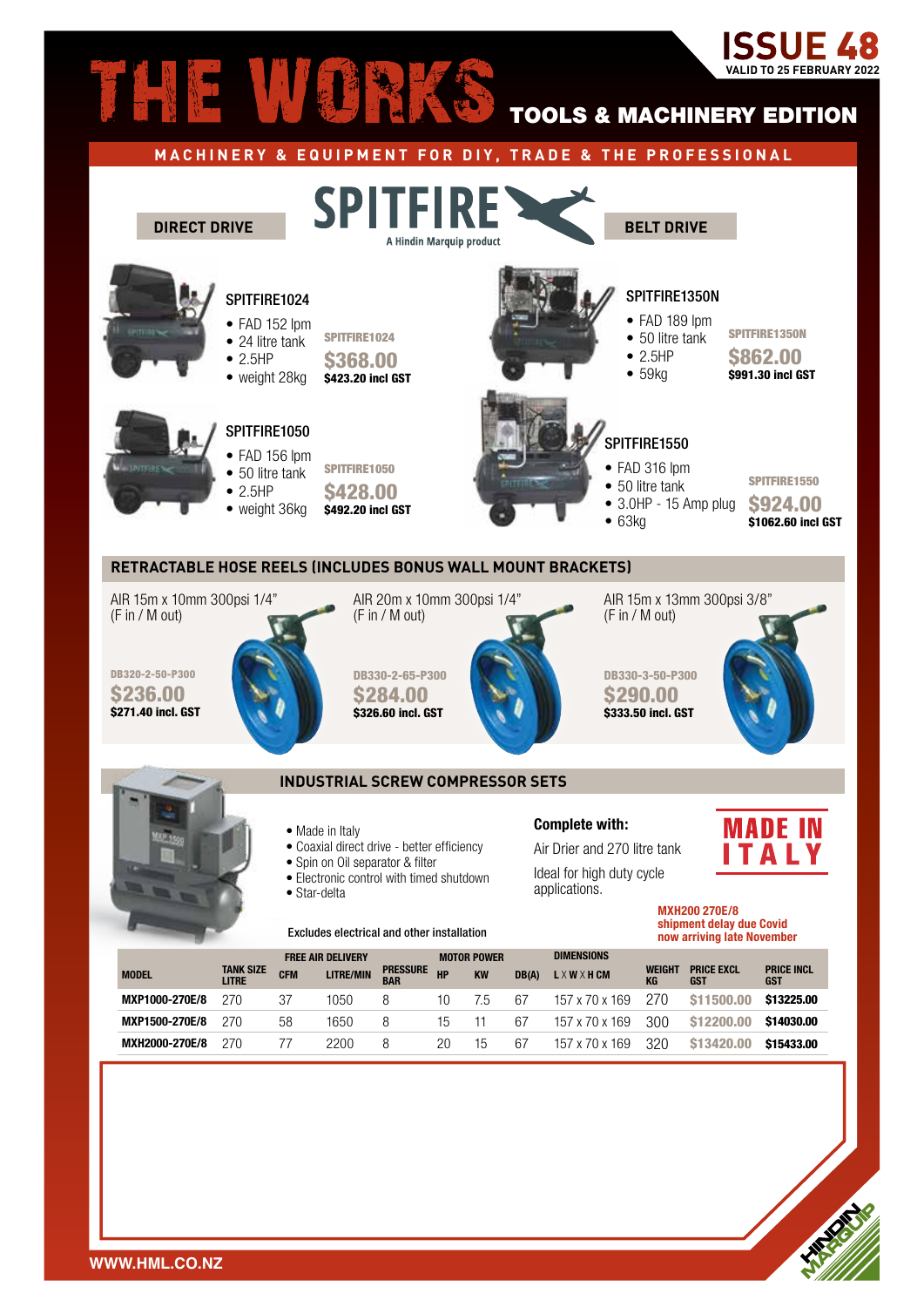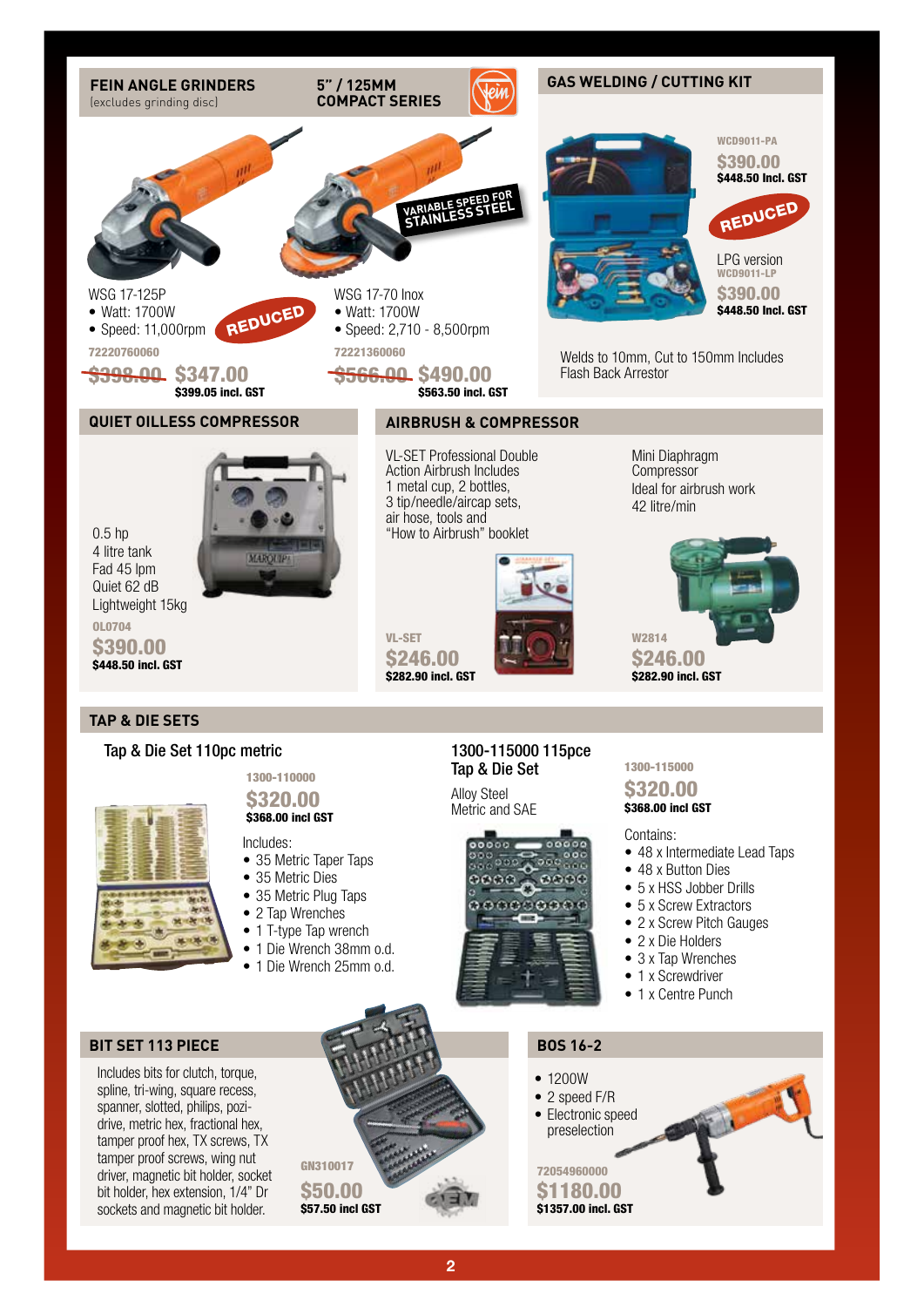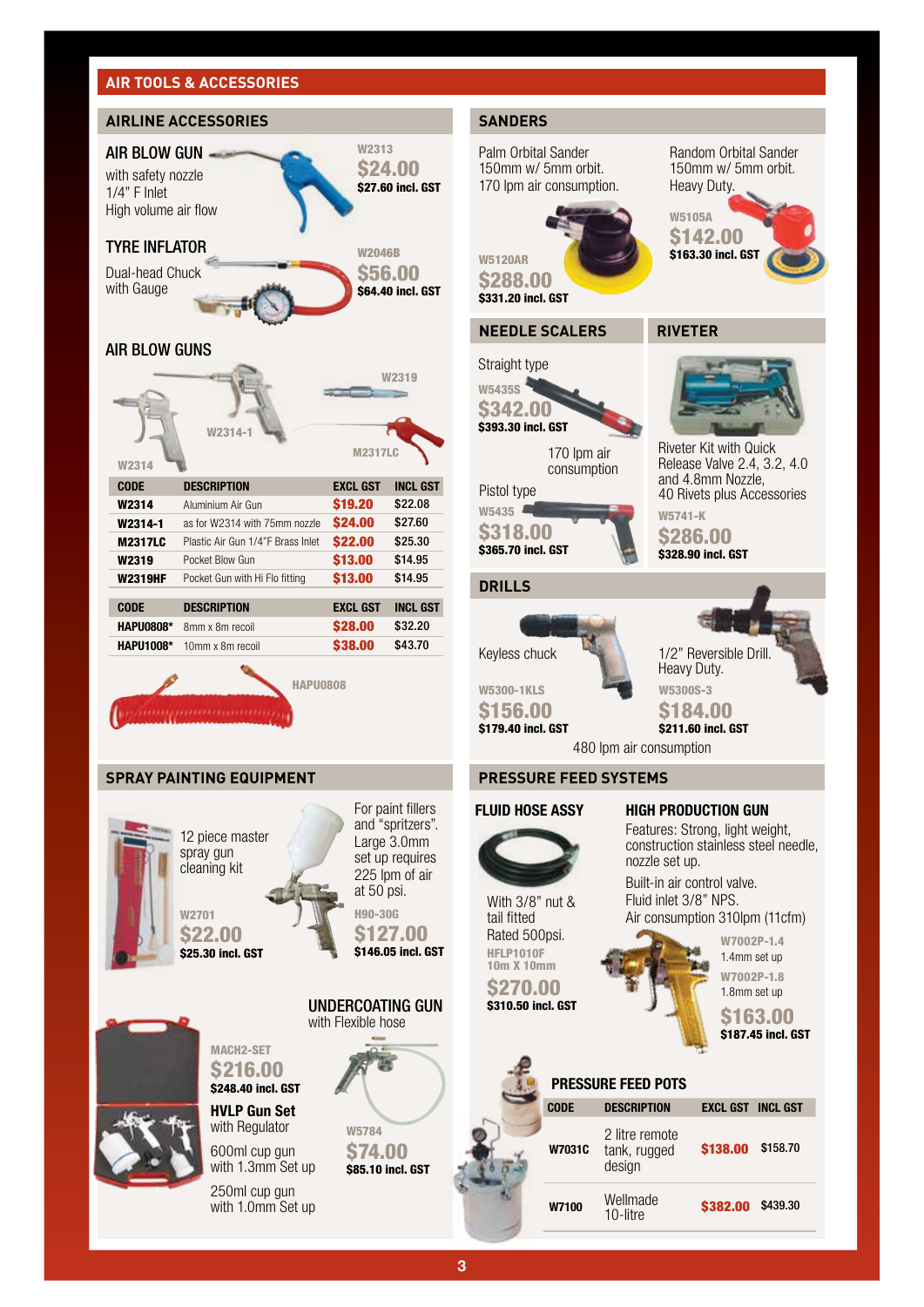# **AIR TOOLS & ACCESSORIES**



W5741-K \$286.00 \$328.90 incl. GST Riveter Kit with Quick Release Valve 2.4, 3.2, 4.0 and 4.8mm Nozzle,

Random Orbital Sander 150mm w/ 5mm orbit.

Heavy Duty.

W5105A \$142.00 \$163.30 incl. GST



W5300S-3

\$184.00 \$211.60 incl. GST

480 lpm air consumption



Features: Strong, light weight, construction stainless steel needle, nozzle set up.

Built-in air control valve. Fluid inlet 3/8" NPS. Air consumption 310lpm (11cfm)

> W7002P-1.4 1.4mm set up W7002P-1.8

1.8mm set up \$163.00

\$187.45 incl. GST

# **PRESSURE FEED POTS CODE DESCRIPTION EXCL GST INCL GST**

| W7031C | 2 litre remote<br>tank, rugged<br>design | <b>\$138,00</b> | \$158.70 |
|--------|------------------------------------------|-----------------|----------|
| W7100  | Wellmade<br>10-litre                     | \$382.00        | \$439.30 |